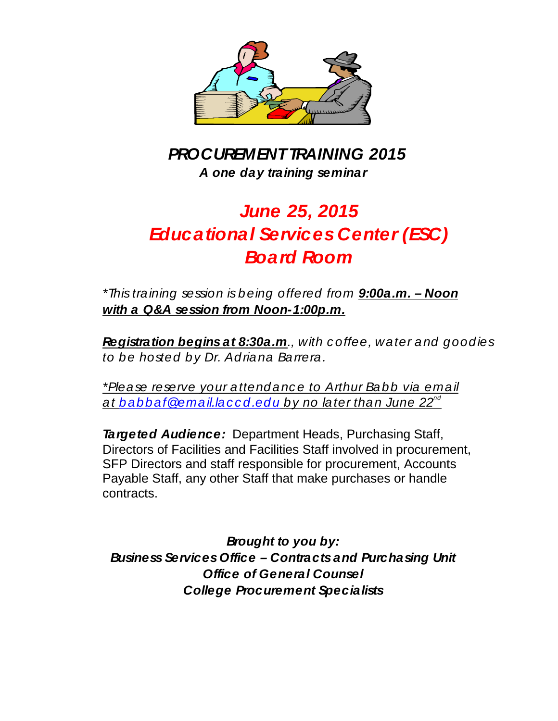

*PROCUREMENT TRAINING 2015 A one day training seminar* 

# *June 25, 2015 Educational Services Center (ESC) Board Room*

*\*This training session is being offered from 9:00a.m. – Noon with a Q&A session from Noon-1:00p.m.*

*Registration begins at 8:30a.m., with c offee, water and goodies to be hosted by Dr. Adriana Barrera.*

*\*Please reserve your attendanc e to Arthur Babb via email at [babbaf@email.lac c d.edu](mailto:babbaf@email.laccd.edu) by no later than June 22nd*

*Targeted Audience:* Department Heads, Purchasing Staff, Directors of Facilities and Facilities Staff involved in procurement, SFP Directors and staff responsible for procurement, Accounts Payable Staff, any other Staff that make purchases or handle contracts.

*Brought to you by: Business Services Office – Contracts and Purchasing Unit Office of General Counsel College Procurement Specialists*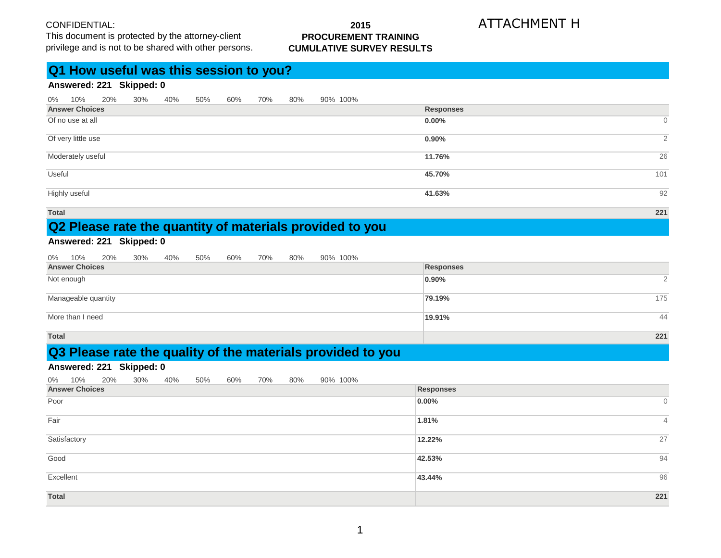This document is protected by the attorney-client privilege and is not to be shared with other persons.

#### **2015 PROCUREMENT TRAINING CUMULATIVE SURVEY RESULTS**

# ATTACHMENT H

# **Q1 How useful was this session to you?**

### **Answered: 221 Skipped: 0**

| 0%                    | 10%                | 20% | $30\%$ | 40% | 50% | 60% | 70% | 80% |  | 90% 100% |                  |                |
|-----------------------|--------------------|-----|--------|-----|-----|-----|-----|-----|--|----------|------------------|----------------|
| <b>Answer Choices</b> |                    |     |        |     |     |     |     |     |  |          | <b>Responses</b> |                |
| Of no use at all      |                    |     |        |     |     |     |     |     |  |          | $0.00\%$         | $\overline{0}$ |
|                       |                    |     |        |     |     |     |     |     |  |          |                  |                |
|                       | Of very little use |     |        |     |     |     |     |     |  |          | $0.90\%$         | $\overline{2}$ |
|                       | Moderately useful  |     |        |     |     |     |     |     |  |          | 11.76%           | 26             |
|                       |                    |     |        |     |     |     |     |     |  |          |                  |                |
| Useful                |                    |     |        |     |     |     |     |     |  |          | 45.70%           | 101            |
|                       | Highly useful      |     |        |     |     |     |     |     |  |          | 41.63%           | 92             |
|                       |                    |     |        |     |     |     |     |     |  |          |                  |                |

**Total 221**

# **Q2 Please rate the quantity of materials provided to you**

# **Answered: 221 Skipped: 0**

|  |  |  |  |  |  |  |  |  |  | 0% 10% 20% 30% 40% 50% 60% 70% 80% 90% 100% |
|--|--|--|--|--|--|--|--|--|--|---------------------------------------------|
|--|--|--|--|--|--|--|--|--|--|---------------------------------------------|

| <b>Answer Choices</b> | <b>Responses</b> |                |
|-----------------------|------------------|----------------|
| Not enough            | 0.90%            | $\overline{2}$ |
| Manageable quantity   | 79.19%           | 175            |
| More than I need      | 19.91%           | 44             |
| <b>Total</b>          |                  | 221            |

# **Q3 Please rate the quality of the materials provided to you**

#### **Answered: 221 Skipped: 0**

0% 10% 20% 30% 40% 50% 60% 70% 80% 90% 100%

| <b>Answer Choices</b> | Responses                |
|-----------------------|--------------------------|
| Poor                  | $0.00\%$<br>$\mathbf{0}$ |
| Fair                  | 1.81%<br>$\overline{4}$  |
| Satisfactory          | 27<br>12.22%             |
| Good                  | 94<br>42.53%             |
| Excellent             | 96<br>43.44%             |
| <b>Total</b>          | 221                      |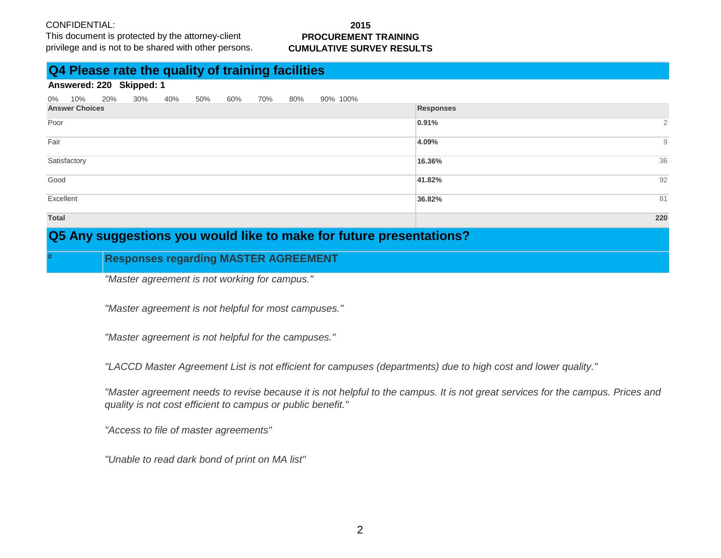This document is protected by the attorney-client privilege and is not to be shared with other persons.

#### **2015 PROCUREMENT TRAINING CUMULATIVE SURVEY RESULTS**

# **Q4 Please rate the quality of training facilities**

#### **Answered: 220 Skipped: 1**

|              | 0% 10%                | 20% | 30% | 40% | 50% | 60% | 70%       | 80% | 90% 100% |  |        |     |
|--------------|-----------------------|-----|-----|-----|-----|-----|-----------|-----|----------|--|--------|-----|
|              | <b>Answer Choices</b> |     |     |     |     |     | Responses |     |          |  |        |     |
| Poor         |                       |     |     |     |     |     |           |     |          |  | 0.91%  | 2   |
| Fair         |                       |     |     |     |     |     |           |     |          |  | 4.09%  | 9   |
|              | Satisfactory          |     |     |     |     |     |           |     |          |  | 16.36% | 36  |
| Good         |                       |     |     |     |     |     |           |     |          |  | 41.82% | 92  |
| Excellent    |                       |     |     |     |     |     |           |     |          |  | 36.82% | 81  |
| <b>Total</b> |                       |     |     |     |     |     |           |     |          |  |        | 220 |

# **Q5 Any suggestions you would like to make for future presentations?**

# **Responses regarding MASTER AGREEMENT**

*"Master agreement is not working for campus."*

*"Master agreement is not helpful for most campuses."*

*"Master agreement is not helpful for the campuses."*

*"LACCD Master Agreement List is not efficient for campuses (departments) due to high cost and lower quality."*

*"Master agreement needs to revise because it is not helpful to the campus. It is not great services for the campus. Prices and quality is not cost efficient to campus or public benefit."*

*"Access to file of master agreements"*

*"Unable to read dark bond of print on MA list"*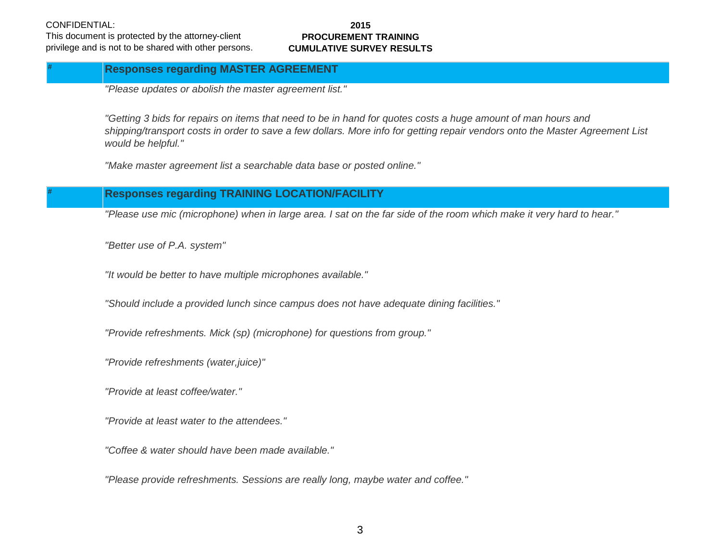**#**

This document is protected by the attorney-client privilege and is not to be shared with other persons.

#### **2015 PROCUREMENT TRAINING CUMULATIVE SURVEY RESULTS**

## **Responses regarding MASTER AGREEMENT**

*"Please updates or abolish the master agreement list."*

*"Getting 3 bids for repairs on items that need to be in hand for quotes costs a huge amount of man hours and shipping/transport costs in order to save a few dollars. More info for getting repair vendors onto the Master Agreement List would be helpful."*

*"Make master agreement list a searchable data base or posted online."*

# **Responses regarding TRAINING LOCATION/FACILITY**

*"Please use mic (microphone) when in large area. I sat on the far side of the room which make it very hard to hear."*

*"Better use of P.A. system"*

*"It would be better to have multiple microphones available."*

*"Should include a provided lunch since campus does not have adequate dining facilities."*

*"Provide refreshments. Mick (sp) (microphone) for questions from group."*

*"Provide refreshments (water,juice)"*

*"Provide at least coffee/water."*

*"Provide at least water to the attendees."*

*"Coffee & water should have been made available."*

*"Please provide refreshments. Sessions are really long, maybe water and coffee."*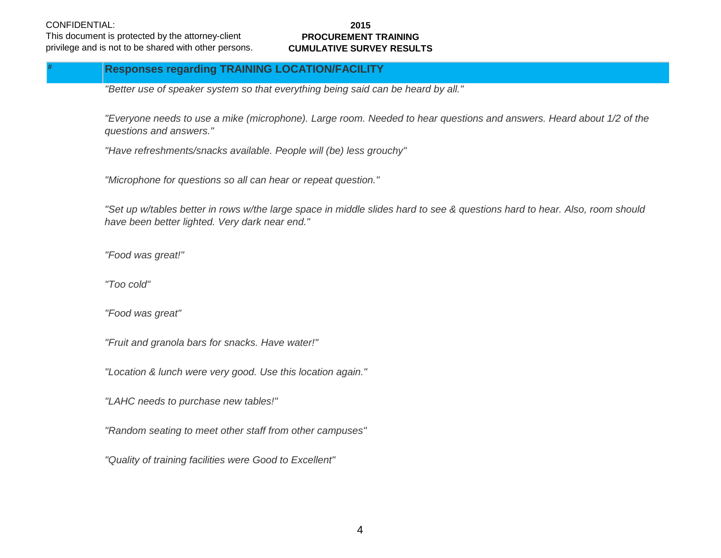This document is protected by the attorney-client privilege and is not to be shared with other persons.

#### **2015 PROCUREMENT TRAINING CUMULATIVE SURVEY RESULTS**

# **Responses regarding TRAINING LOCATION/FACILITY**

*"Better use of speaker system so that everything being said can be heard by all."*

*"Everyone needs to use a mike (microphone). Large room. Needed to hear questions and answers. Heard about 1/2 of the questions and answers."*

*"Have refreshments/snacks available. People will (be) less grouchy"*

*"Microphone for questions so all can hear or repeat question."*

*"Set up w/tables better in rows w/the large space in middle slides hard to see & questions hard to hear. Also, room should have been better lighted. Very dark near end."*

*"Food was great!"*

*"Too cold"*

*"Food was great"*

*"Fruit and granola bars for snacks. Have water!"*

*"Location & lunch were very good. Use this location again."*

*"LAHC needs to purchase new tables!"*

*"Random seating to meet other staff from other campuses"*

*"Quality of training facilities were Good to Excellent"*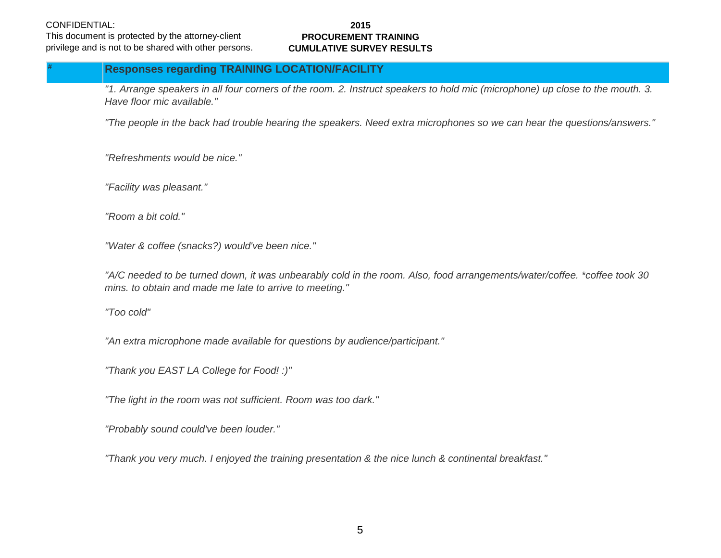This document is protected by the attorney-client privilege and is not to be shared with other persons.

#### **2015 PROCUREMENT TRAINING CUMULATIVE SURVEY RESULTS**

# **Responses regarding TRAINING LOCATION/FACILITY**

*"1. Arrange speakers in all four corners of the room. 2. Instruct speakers to hold mic (microphone) up close to the mouth. 3. Have floor mic available."*

*"The people in the back had trouble hearing the speakers. Need extra microphones so we can hear the questions/answers."*

*"Refreshments would be nice."*

*"Facility was pleasant."*

*"Room a bit cold."*

*"Water & coffee (snacks?) would've been nice."*

*"A/C needed to be turned down, it was unbearably cold in the room. Also, food arrangements/water/coffee. \*coffee took 30 mins. to obtain and made me late to arrive to meeting."*

*"Too cold"*

*"An extra microphone made available for questions by audience/participant."*

*"Thank you EAST LA College for Food! :)"*

*"The light in the room was not sufficient. Room was too dark."*

*"Probably sound could've been louder."*

*"Thank you very much. I enjoyed the training presentation & the nice lunch & continental breakfast."*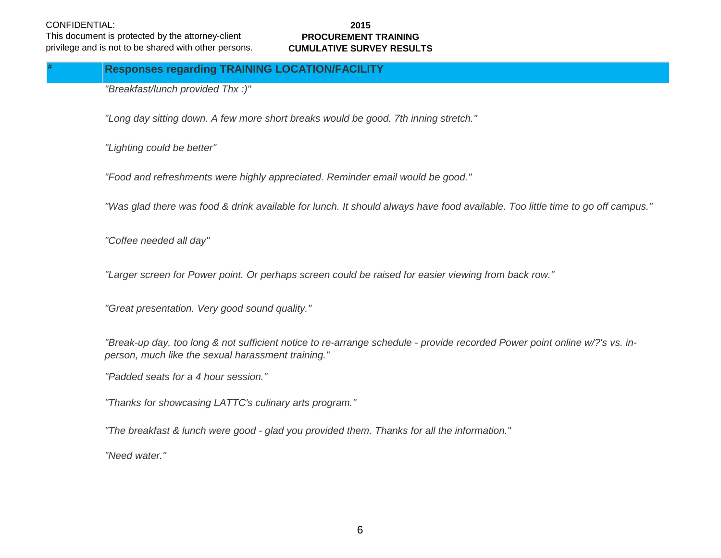This document is protected by the attorney-client privilege and is not to be shared with other persons.

#### **2015 PROCUREMENT TRAINING CUMULATIVE SURVEY RESULTS**

### **Responses regarding TRAINING LOCATION/FACILITY**

*"Breakfast/lunch provided Thx :)"*

*"Long day sitting down. A few more short breaks would be good. 7th inning stretch."*

*"Lighting could be better"*

*"Food and refreshments were highly appreciated. Reminder email would be good."*

*"Was glad there was food & drink available for lunch. It should always have food available. Too little time to go off campus."*

*"Coffee needed all day"*

*"Larger screen for Power point. Or perhaps screen could be raised for easier viewing from back row."*

*"Great presentation. Very good sound quality."*

*"Break-up day, too long & not sufficient notice to re-arrange schedule - provide recorded Power point online w/?'s vs. inperson, much like the sexual harassment training."*

*"Padded seats for a 4 hour session."*

*"Thanks for showcasing LATTC's culinary arts program."*

*"The breakfast & lunch were good - glad you provided them. Thanks for all the information."*

*"Need water."*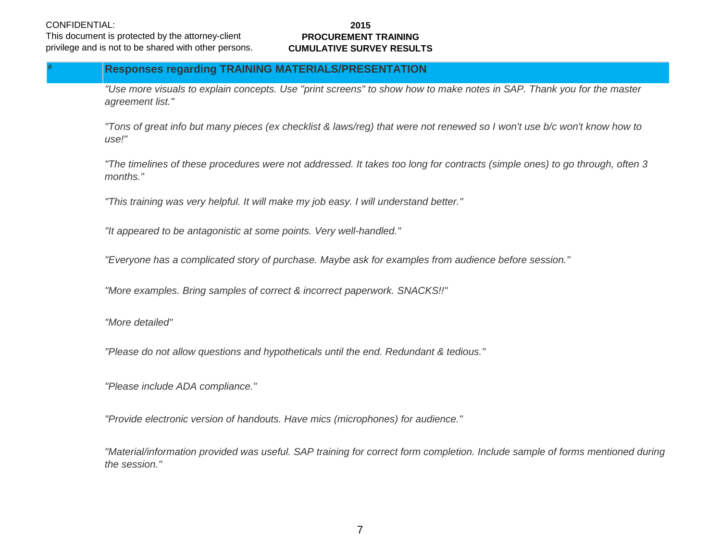This document is protected by the attorney-client privilege and is not to be shared with other persons.

#### **2015 PROCUREMENT TRAINING CUMULATIVE SURVEY RESULTS**

# **Responses regarding TRAINING MATERIALS/PRESENTATION**

*"Use more visuals to explain concepts. Use "print screens" to show how to make notes in SAP. Thank you for the master agreement list."*

*"Tons of great info but many pieces (ex checklist & laws/reg) that were not renewed so I won't use b/c won't know how to use!"*

*"The timelines of these procedures were not addressed. It takes too long for contracts (simple ones) to go through, often 3 months."*

*"This training was very helpful. It will make my job easy. I will understand better."*

*"It appeared to be antagonistic at some points. Very well-handled."*

*"Everyone has a complicated story of purchase. Maybe ask for examples from audience before session."*

*"More examples. Bring samples of correct & incorrect paperwork. SNACKS!!"*

*"More detailed"*

*"Please do not allow questions and hypotheticals until the end. Redundant & tedious."*

*"Please include ADA compliance."*

*"Provide electronic version of handouts. Have mics (microphones) for audience."*

*"Material/information provided was useful. SAP training for correct form completion. Include sample of forms mentioned during the session."*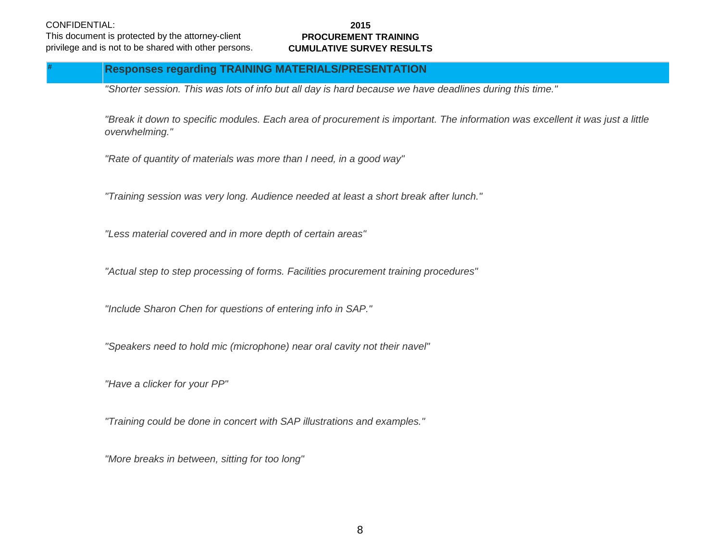This document is protected by the attorney-client privilege and is not to be shared with other persons.

#### **2015 PROCUREMENT TRAINING CUMULATIVE SURVEY RESULTS**

## **Responses regarding TRAINING MATERIALS/PRESENTATION**

*"Shorter session. This was lots of info but all day is hard because we have deadlines during this time."*

*"Break it down to specific modules. Each area of procurement is important. The information was excellent it was just a little overwhelming."*

*"Rate of quantity of materials was more than I need, in a good way"*

*"Training session was very long. Audience needed at least a short break after lunch."*

*"Less material covered and in more depth of certain areas"*

*"Actual step to step processing of forms. Facilities procurement training procedures"*

*"Include Sharon Chen for questions of entering info in SAP."*

*"Speakers need to hold mic (microphone) near oral cavity not their navel"*

*"Have a clicker for your PP"*

*"Training could be done in concert with SAP illustrations and examples."*

*"More breaks in between, sitting for too long"*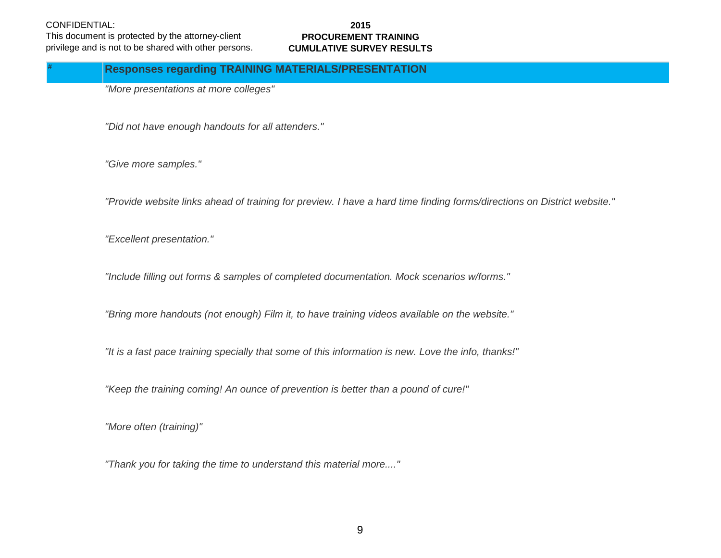**#**

This document is protected by the attorney-client privilege and is not to be shared with other persons.

#### **2015 PROCUREMENT TRAINING CUMULATIVE SURVEY RESULTS**

### **Responses regarding TRAINING MATERIALS/PRESENTATION**

*"More presentations at more colleges"*

*"Did not have enough handouts for all attenders."*

*"Give more samples."*

*"Provide website links ahead of training for preview. I have a hard time finding forms/directions on District website."*

*"Excellent presentation."*

*"Include filling out forms & samples of completed documentation. Mock scenarios w/forms."*

*"Bring more handouts (not enough) Film it, to have training videos available on the website."*

*"It is a fast pace training specially that some of this information is new. Love the info, thanks!"*

*"Keep the training coming! An ounce of prevention is better than a pound of cure!"*

*"More often (training)"*

*"Thank you for taking the time to understand this material more...."*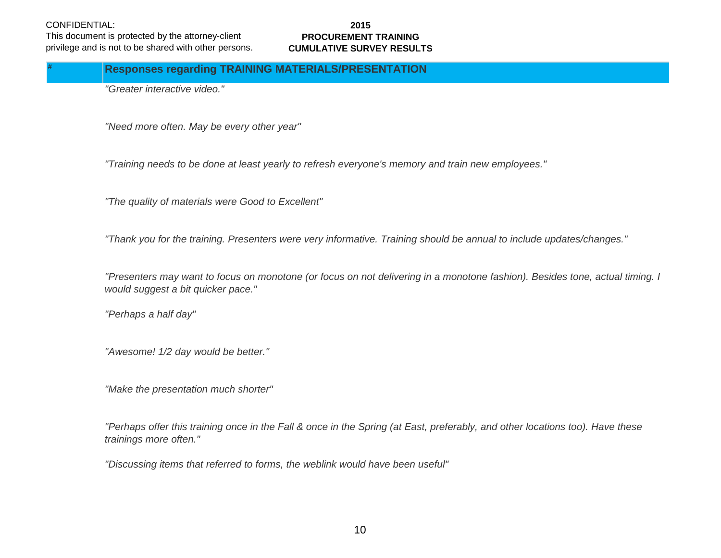This document is protected by the attorney-client privilege and is not to be shared with other persons.

#### **2015 PROCUREMENT TRAINING CUMULATIVE SURVEY RESULTS**

# **Responses regarding TRAINING MATERIALS/PRESENTATION**

*"Greater interactive video."*

*"Need more often. May be every other year"*

*"Training needs to be done at least yearly to refresh everyone's memory and train new employees."*

*"The quality of materials were Good to Excellent"*

*"Thank you for the training. Presenters were very informative. Training should be annual to include updates/changes."*

*"Presenters may want to focus on monotone (or focus on not delivering in a monotone fashion). Besides tone, actual timing. I would suggest a bit quicker pace."*

*"Perhaps a half day"*

*"Awesome! 1/2 day would be better."*

*"Make the presentation much shorter"*

*"Perhaps offer this training once in the Fall & once in the Spring (at East, preferably, and other locations too). Have these trainings more often."*

*"Discussing items that referred to forms, the weblink would have been useful"*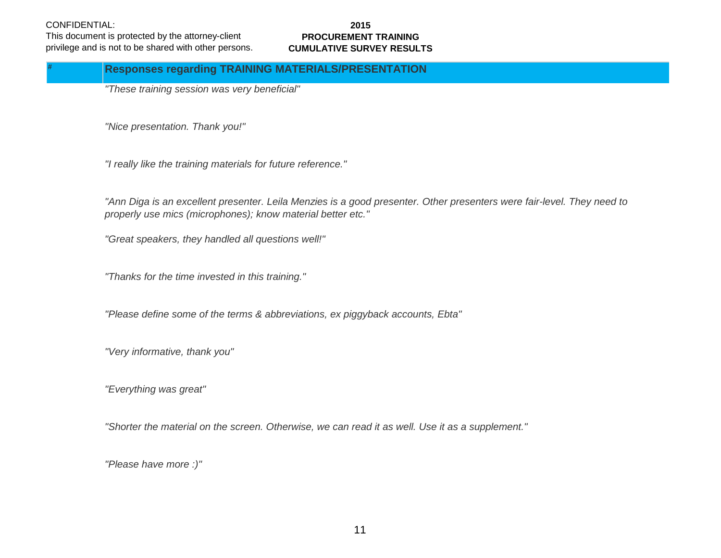**#**

This document is protected by the attorney-client privilege and is not to be shared with other persons.

#### **2015 PROCUREMENT TRAINING CUMULATIVE SURVEY RESULTS**

# **Responses regarding TRAINING MATERIALS/PRESENTATION**

*"These training session was very beneficial"*

*"Nice presentation. Thank you!"*

*"I really like the training materials for future reference."*

*"Ann Diga is an excellent presenter. Leila Menzies is a good presenter. Other presenters were fair-level. They need to properly use mics (microphones); know material better etc."*

*"Great speakers, they handled all questions well!"*

*"Thanks for the time invested in this training."*

*"Please define some of the terms & abbreviations, ex piggyback accounts, Ebta"*

*"Very informative, thank you"*

*"Everything was great"*

*"Shorter the material on the screen. Otherwise, we can read it as well. Use it as a supplement."*

*"Please have more :)"*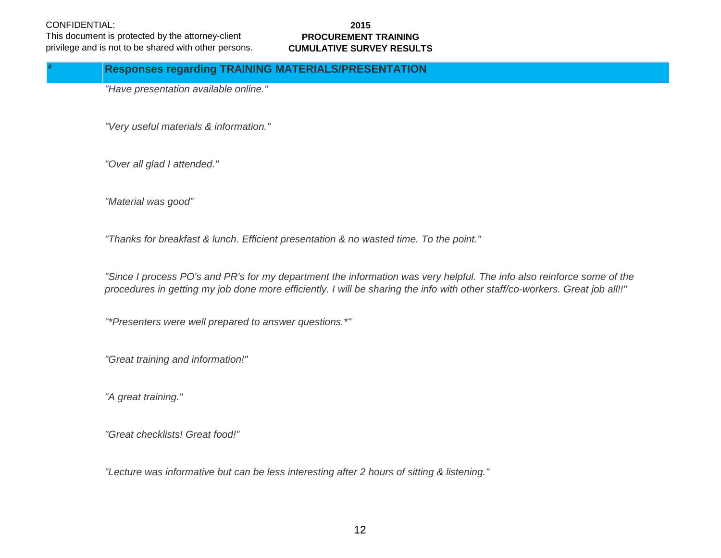**#**

This document is protected by the attorney-client privilege and is not to be shared with other persons.

#### **2015 PROCUREMENT TRAINING CUMULATIVE SURVEY RESULTS**

### **Responses regarding TRAINING MATERIALS/PRESENTATION**

*"Have presentation available online."*

*"Very useful materials & information."*

*"Over all glad I attended."*

*"Material was good"*

*"Thanks for breakfast & lunch. Efficient presentation & no wasted time. To the point."*

*"Since I process PO's and PR's for my department the information was very helpful. The info also reinforce some of the procedures in getting my job done more efficiently. I will be sharing the info with other staff/co-workers. Great job all!!"*

*"\*Presenters were well prepared to answer questions.\*"*

*"Great training and information!"*

*"A great training."*

*"Great checklists! Great food!"*

*"Lecture was informative but can be less interesting after 2 hours of sitting & listening."*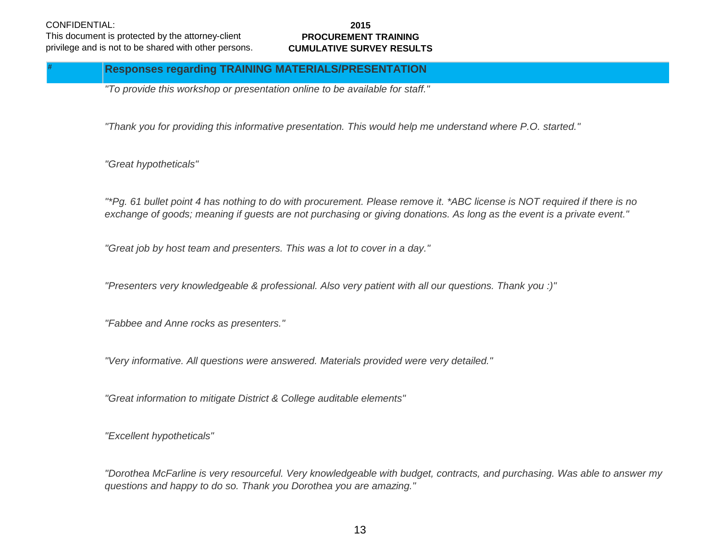This document is protected by the attorney-client privilege and is not to be shared with other persons.

#### **2015 PROCUREMENT TRAINING CUMULATIVE SURVEY RESULTS**

# **Responses regarding TRAINING MATERIALS/PRESENTATION**

*"To provide this workshop or presentation online to be available for staff."*

*"Thank you for providing this informative presentation. This would help me understand where P.O. started."*

*"Great hypotheticals"*

*"\*Pg. 61 bullet point 4 has nothing to do with procurement. Please remove it. \*ABC license is NOT required if there is no exchange of goods; meaning if guests are not purchasing or giving donations. As long as the event is a private event."*

*"Great job by host team and presenters. This was a lot to cover in a day."*

*"Presenters very knowledgeable & professional. Also very patient with all our questions. Thank you :)"*

*"Fabbee and Anne rocks as presenters."*

*"Very informative. All questions were answered. Materials provided were very detailed."*

*"Great information to mitigate District & College auditable elements"*

*"Excellent hypotheticals"*

*"Dorothea McFarline is very resourceful. Very knowledgeable with budget, contracts, and purchasing. Was able to answer my questions and happy to do so. Thank you Dorothea you are amazing."*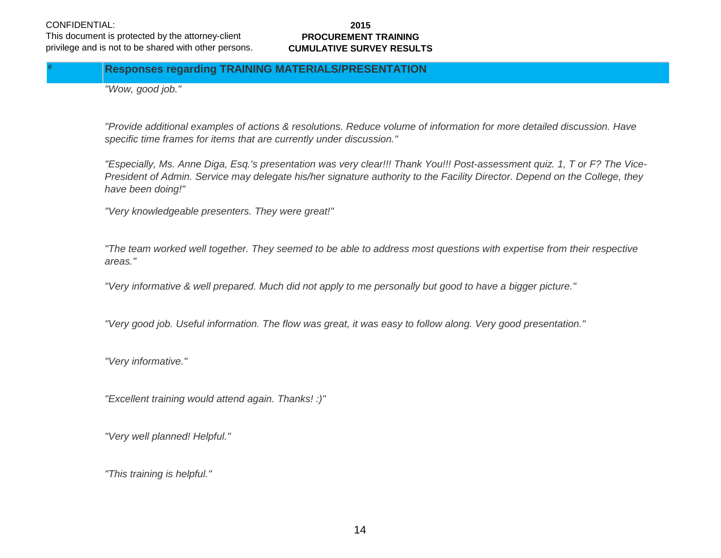This document is protected by the attorney-client privilege and is not to be shared with other persons.

#### **2015 PROCUREMENT TRAINING CUMULATIVE SURVEY RESULTS**

# **Responses regarding TRAINING MATERIALS/PRESENTATION**

*"Wow, good job."*

*"Provide additional examples of actions & resolutions. Reduce volume of information for more detailed discussion. Have specific time frames for items that are currently under discussion."*

*"Especially, Ms. Anne Diga, Esq.'s presentation was very clear!!! Thank You!!! Post-assessment quiz. 1, T or F? The Vice-President of Admin. Service may delegate his/her signature authority to the Facility Director. Depend on the College, they have been doing!"*

*"Very knowledgeable presenters. They were great!"*

*"The team worked well together. They seemed to be able to address most questions with expertise from their respective areas."*

*"Very informative & well prepared. Much did not apply to me personally but good to have a bigger picture."*

*"Very good job. Useful information. The flow was great, it was easy to follow along. Very good presentation."*

*"Very informative."*

*"Excellent training would attend again. Thanks! :)"*

*"Very well planned! Helpful."*

*"This training is helpful."*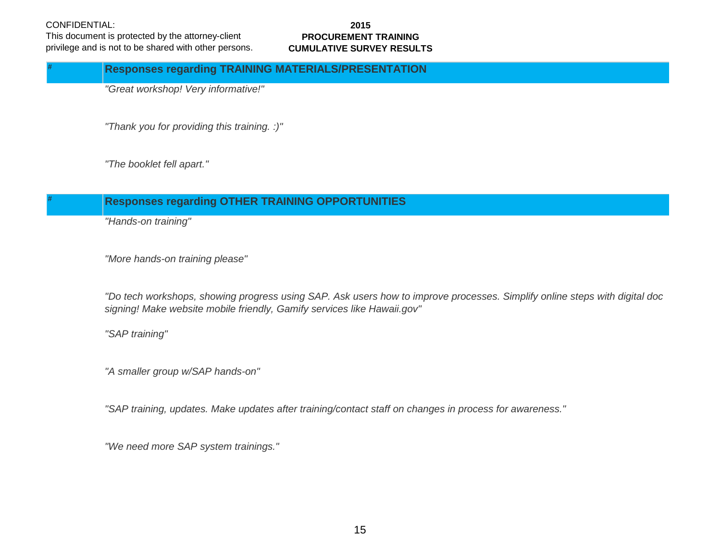**#**

This document is protected by the attorney-client privilege and is not to be shared with other persons.

#### **2015 PROCUREMENT TRAINING CUMULATIVE SURVEY RESULTS**

## **Responses regarding TRAINING MATERIALS/PRESENTATION**

*"Great workshop! Very informative!"*

*"Thank you for providing this training. :)"*

*"The booklet fell apart."*

# **# Responses regarding OTHER TRAINING OPPORTUNITIES**

*"Hands-on training"*

*"More hands-on training please"*

*"Do tech workshops, showing progress using SAP. Ask users how to improve processes. Simplify online steps with digital doc signing! Make website mobile friendly, Gamify services like Hawaii.gov"*

*"SAP training"*

*"A smaller group w/SAP hands-on"*

*"SAP training, updates. Make updates after training/contact staff on changes in process for awareness."*

*"We need more SAP system trainings."*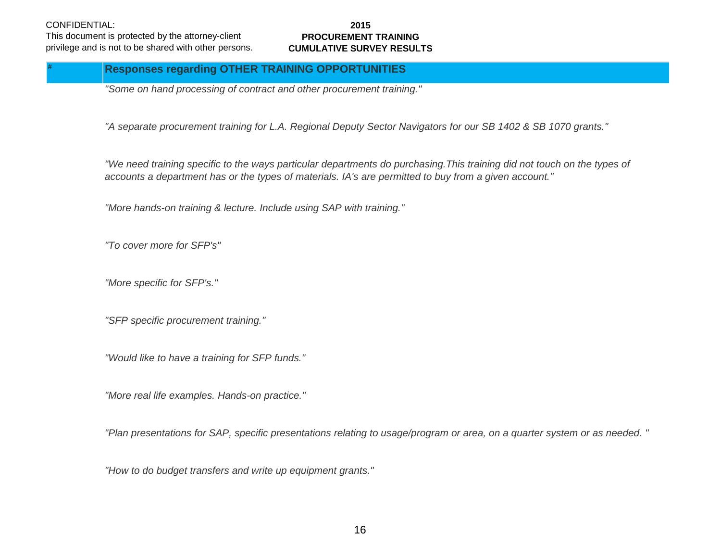This document is protected by the attorney-client privilege and is not to be shared with other persons.

#### **2015 PROCUREMENT TRAINING CUMULATIVE SURVEY RESULTS**

# **Responses regarding OTHER TRAINING OPPORTUNITIES**

*"Some on hand processing of contract and other procurement training."*

*"A separate procurement training for L.A. Regional Deputy Sector Navigators for our SB 1402 & SB 1070 grants."*

*"We need training specific to the ways particular departments do purchasing.This training did not touch on the types of accounts a department has or the types of materials. IA's are permitted to buy from a given account."*

*"More hands-on training & lecture. Include using SAP with training."*

*"To cover more for SFP's"*

*"More specific for SFP's."*

*"SFP specific procurement training."*

*"Would like to have a training for SFP funds."*

*"More real life examples. Hands-on practice."*

*"Plan presentations for SAP, specific presentations relating to usage/program or area, on a quarter system or as needed. "*

*"How to do budget transfers and write up equipment grants."*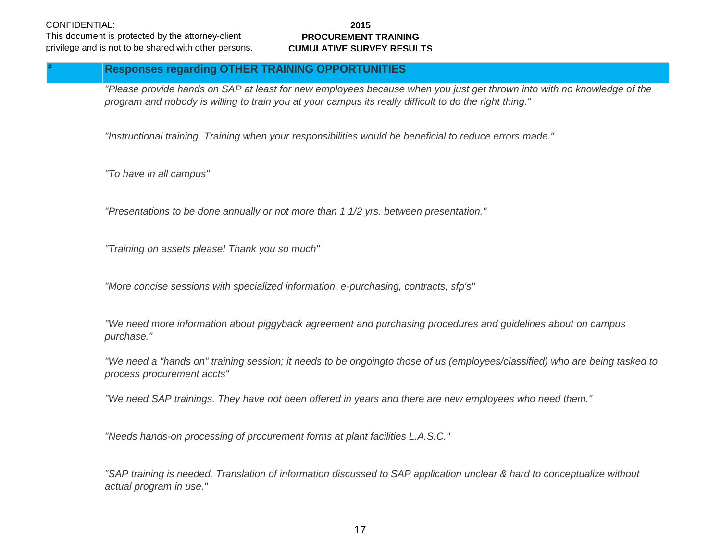#### This document is protected by the attorney-client privilege and is not to be shared with other persons.

#### **2015 PROCUREMENT TRAINING CUMULATIVE SURVEY RESULTS**

# **Responses regarding OTHER TRAINING OPPORTUNITIES**

*"Please provide hands on SAP at least for new employees because when you just get thrown into with no knowledge of the program and nobody is willing to train you at your campus its really difficult to do the right thing."*

*"Instructional training. Training when your responsibilities would be beneficial to reduce errors made."*

*"To have in all campus"*

*"Presentations to be done annually or not more than 1 1/2 yrs. between presentation."*

*"Training on assets please! Thank you so much"*

*"More concise sessions with specialized information. e-purchasing, contracts, sfp's"*

*"We need more information about piggyback agreement and purchasing procedures and guidelines about on campus purchase."*

*"We need a "hands on" training session; it needs to be ongoingto those of us (employees/classified) who are being tasked to process procurement accts"*

*"We need SAP trainings. They have not been offered in years and there are new employees who need them."*

*"Needs hands-on processing of procurement forms at plant facilities L.A.S.C."*

*"SAP training is needed. Translation of information discussed to SAP application unclear & hard to conceptualize without actual program in use."*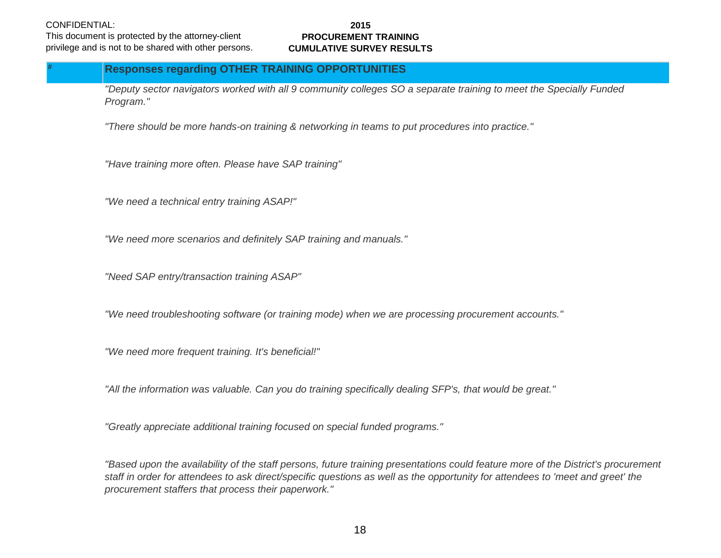This document is protected by the attorney-client privilege and is not to be shared with other persons.

#### **2015 PROCUREMENT TRAINING CUMULATIVE SURVEY RESULTS**

# **Responses regarding OTHER TRAINING OPPORTUNITIES**

*"Deputy sector navigators worked with all 9 community colleges SO a separate training to meet the Specially Funded Program."*

*"There should be more hands-on training & networking in teams to put procedures into practice."*

*"Have training more often. Please have SAP training"*

*"We need a technical entry training ASAP!"*

*"We need more scenarios and definitely SAP training and manuals."*

*"Need SAP entry/transaction training ASAP"*

*"We need troubleshooting software (or training mode) when we are processing procurement accounts."*

*"We need more frequent training. It's beneficial!"*

*"All the information was valuable. Can you do training specifically dealing SFP's, that would be great."*

*"Greatly appreciate additional training focused on special funded programs."*

*"Based upon the availability of the staff persons, future training presentations could feature more of the District's procurement staff in order for attendees to ask direct/specific questions as well as the opportunity for attendees to 'meet and greet' the procurement staffers that process their paperwork."*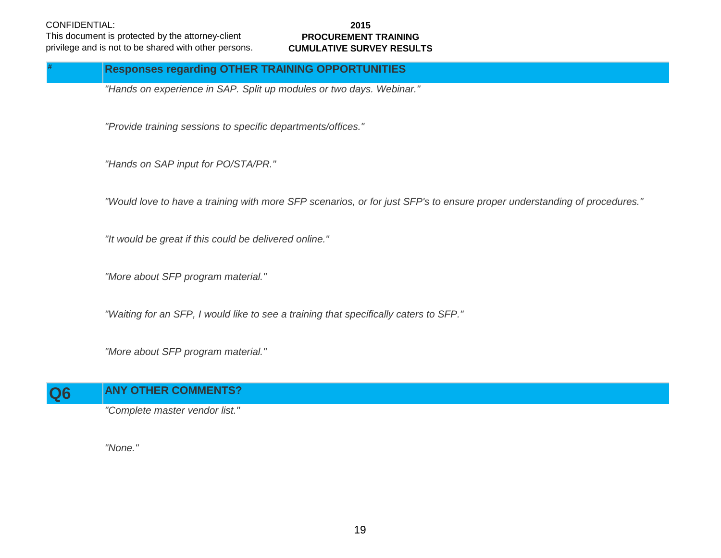This document is protected by the attorney-client privilege and is not to be shared with other persons.

#### **2015 PROCUREMENT TRAINING CUMULATIVE SURVEY RESULTS**

# **Responses regarding OTHER TRAINING OPPORTUNITIES**

*"Hands on experience in SAP. Split up modules or two days. Webinar."*

*"Provide training sessions to specific departments/offices."*

*"Hands on SAP input for PO/STA/PR."*

*"Would love to have a training with more SFP scenarios, or for just SFP's to ensure proper understanding of procedures."*

*"It would be great if this could be delivered online."*

*"More about SFP program material."*

*"Waiting for an SFP, I would like to see a training that specifically caters to SFP."*

*"More about SFP program material."*

# **Q6 ANY OTHER COMMENTS?**

*"Complete master vendor list."*

*"None."*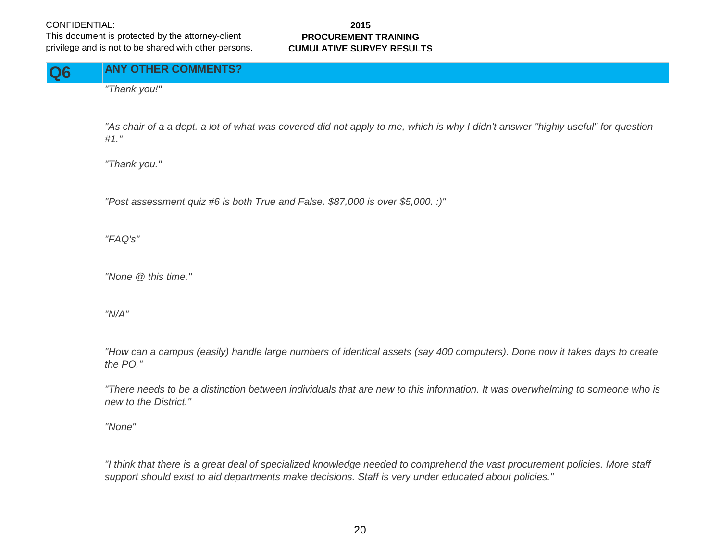This document is protected by the attorney-client privilege and is not to be shared with other persons.

#### **2015 PROCUREMENT TRAINING CUMULATIVE SURVEY RESULTS**

**Q6 ANY OTHER COMMENTS?**

*"Thank you!"*

*"As chair of a a dept. a lot of what was covered did not apply to me, which is why I didn't answer "highly useful" for question #1."*

*"Thank you."*

*"Post assessment quiz #6 is both True and False. \$87,000 is over \$5,000. :)"*

*"FAQ's"*

*"None @ this time."*

*"N/A"*

*"How can a campus (easily) handle large numbers of identical assets (say 400 computers). Done now it takes days to create the PO."*

*"There needs to be a distinction between individuals that are new to this information. It was overwhelming to someone who is new to the District."*

*"None"*

*"I think that there is a great deal of specialized knowledge needed to comprehend the vast procurement policies. More staff support should exist to aid departments make decisions. Staff is very under educated about policies."*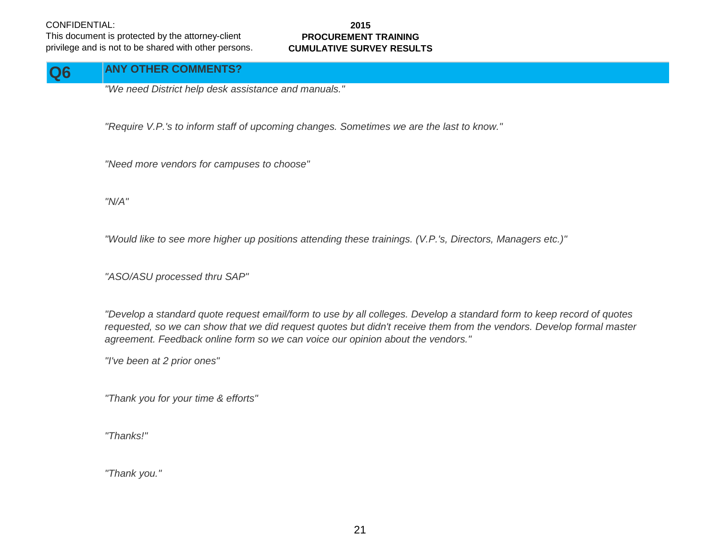This document is protected by the attorney-client privilege and is not to be shared with other persons.

#### **2015 PROCUREMENT TRAINING CUMULATIVE SURVEY RESULTS**

#### **Q6 ANY OTHER COMMENTS?**

*"We need District help desk assistance and manuals."*

*"Require V.P.'s to inform staff of upcoming changes. Sometimes we are the last to know."*

*"Need more vendors for campuses to choose"*

*"N/A"*

*"Would like to see more higher up positions attending these trainings. (V.P.'s, Directors, Managers etc.)"*

*"ASO/ASU processed thru SAP"*

*"Develop a standard quote request email/form to use by all colleges. Develop a standard form to keep record of quotes requested, so we can show that we did request quotes but didn't receive them from the vendors. Develop formal master agreement. Feedback online form so we can voice our opinion about the vendors."*

*"I've been at 2 prior ones"*

*"Thank you for your time & efforts"*

*"Thanks!"*

*"Thank you."*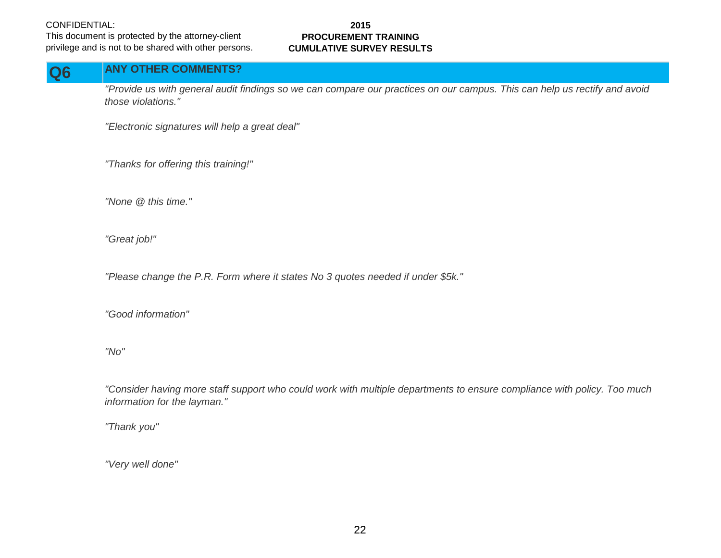This document is protected by the attorney-client privilege and is not to be shared with other persons.

#### **2015 PROCUREMENT TRAINING CUMULATIVE SURVEY RESULTS**

# **Q6 ANY OTHER COMMENTS?**

*"Provide us with general audit findings so we can compare our practices on our campus. This can help us rectify and avoid those violations."*

*"Electronic signatures will help a great deal"*

*"Thanks for offering this training!"*

*"None @ this time."*

*"Great job!"*

*"Please change the P.R. Form where it states No 3 quotes needed if under \$5k."*

*"Good information"*

*"No"*

*"Consider having more staff support who could work with multiple departments to ensure compliance with policy. Too much information for the layman."*

*"Thank you"*

*"Very well done"*